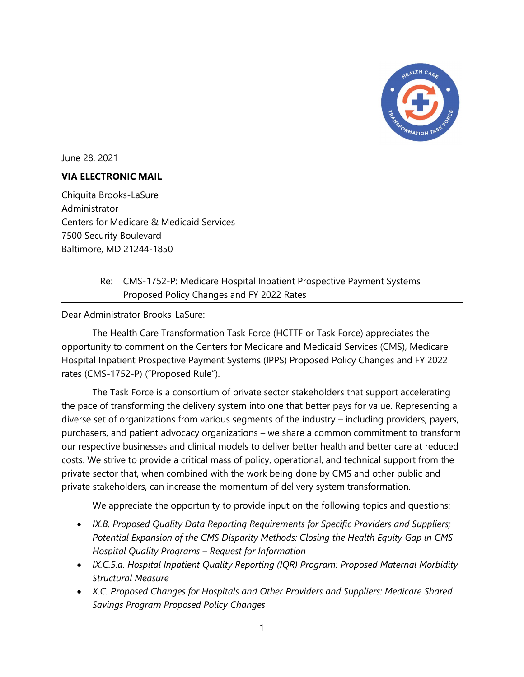

June 28, 2021

# VIA ELECTRONIC MAIL

Chiquita Brooks-LaSure Administrator Centers for Medicare & Medicaid Services 7500 Security Boulevard Baltimore, MD 21244-1850

# Re: CMS-1752-P: Medicare Hospital Inpatient Prospective Payment Systems Proposed Policy Changes and FY 2022 Rates

Dear Administrator Brooks-LaSure:

The Health Care Transformation Task Force (HCTTF or Task Force) appreciates the opportunity to comment on the Centers for Medicare and Medicaid Services (CMS), Medicare Hospital Inpatient Prospective Payment Systems (IPPS) Proposed Policy Changes and FY 2022 rates (CMS-1752-P) ("Proposed Rule").

The Task Force is a consortium of private sector stakeholders that support accelerating the pace of transforming the delivery system into one that better pays for value. Representing a diverse set of organizations from various segments of the industry – including providers, payers, purchasers, and patient advocacy organizations – we share a common commitment to transform our respective businesses and clinical models to deliver better health and better care at reduced costs. We strive to provide a critical mass of policy, operational, and technical support from the private sector that, when combined with the work being done by CMS and other public and private stakeholders, can increase the momentum of delivery system transformation.

We appreciate the opportunity to provide input on the following topics and questions:

- IX.B. Proposed Quality Data Reporting Requirements for Specific Providers and Suppliers; Potential Expansion of the CMS Disparity Methods: Closing the Health Equity Gap in CMS Hospital Quality Programs – Request for Information
- IX.C.5.a. Hospital Inpatient Quality Reporting (IQR) Program: Proposed Maternal Morbidity Structural Measure
- X.C. Proposed Changes for Hospitals and Other Providers and Suppliers: Medicare Shared Savings Program Proposed Policy Changes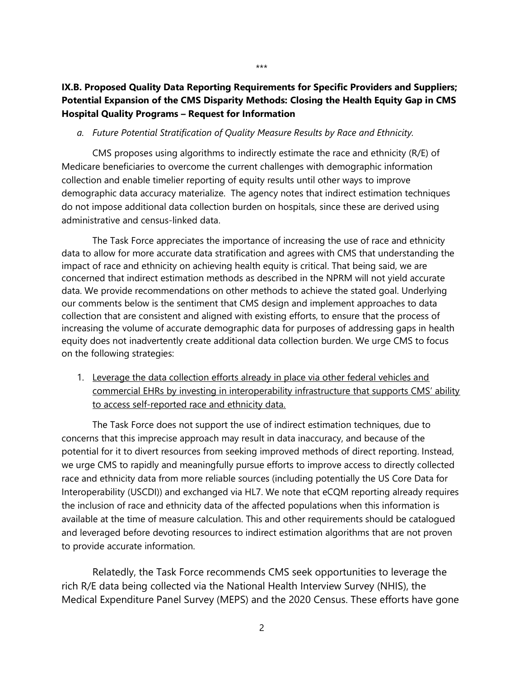## IX.B. Proposed Quality Data Reporting Requirements for Specific Providers and Suppliers; Potential Expansion of the CMS Disparity Methods: Closing the Health Equity Gap in CMS Hospital Quality Programs – Request for Information

#### a. Future Potential Stratification of Quality Measure Results by Race and Ethnicity.

CMS proposes using algorithms to indirectly estimate the race and ethnicity (R/E) of Medicare beneficiaries to overcome the current challenges with demographic information collection and enable timelier reporting of equity results until other ways to improve demographic data accuracy materialize. The agency notes that indirect estimation techniques do not impose additional data collection burden on hospitals, since these are derived using administrative and census-linked data.

The Task Force appreciates the importance of increasing the use of race and ethnicity data to allow for more accurate data stratification and agrees with CMS that understanding the impact of race and ethnicity on achieving health equity is critical. That being said, we are concerned that indirect estimation methods as described in the NPRM will not yield accurate data. We provide recommendations on other methods to achieve the stated goal. Underlying our comments below is the sentiment that CMS design and implement approaches to data collection that are consistent and aligned with existing efforts, to ensure that the process of increasing the volume of accurate demographic data for purposes of addressing gaps in health equity does not inadvertently create additional data collection burden. We urge CMS to focus on the following strategies:

1. Leverage the data collection efforts already in place via other federal vehicles and commercial EHRs by investing in interoperability infrastructure that supports CMS' ability to access self-reported race and ethnicity data.

The Task Force does not support the use of indirect estimation techniques, due to concerns that this imprecise approach may result in data inaccuracy, and because of the potential for it to divert resources from seeking improved methods of direct reporting. Instead, we urge CMS to rapidly and meaningfully pursue efforts to improve access to directly collected race and ethnicity data from more reliable sources (including potentially the US Core Data for Interoperability (USCDI)) and exchanged via HL7. We note that eCQM reporting already requires the inclusion of race and ethnicity data of the affected populations when this information is available at the time of measure calculation. This and other requirements should be catalogued and leveraged before devoting resources to indirect estimation algorithms that are not proven to provide accurate information.

Relatedly, the Task Force recommends CMS seek opportunities to leverage the rich R/E data being collected via the National Health Interview Survey (NHIS), the Medical Expenditure Panel Survey (MEPS) and the 2020 Census. These efforts have gone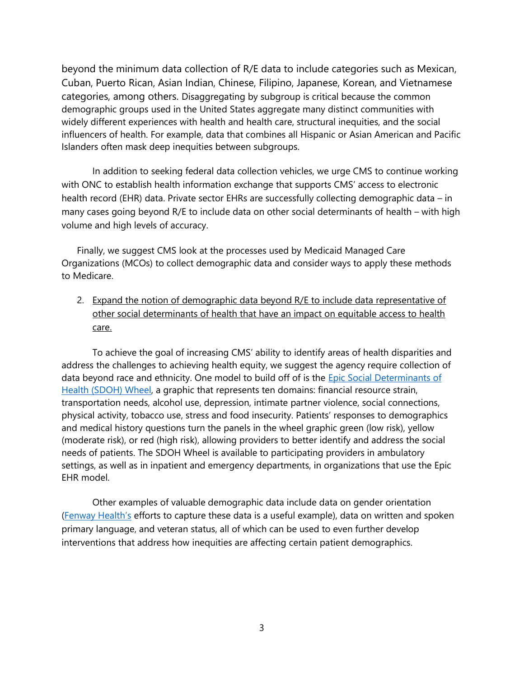beyond the minimum data collection of R/E data to include categories such as Mexican, Cuban, Puerto Rican, Asian Indian, Chinese, Filipino, Japanese, Korean, and Vietnamese categories, among others. Disaggregating by subgroup is critical because the common demographic groups used in the United States aggregate many distinct communities with widely different experiences with health and health care, structural inequities, and the social influencers of health. For example, data that combines all Hispanic or Asian American and Pacific Islanders often mask deep inequities between subgroups.

In addition to seeking federal data collection vehicles, we urge CMS to continue working with ONC to establish health information exchange that supports CMS' access to electronic health record (EHR) data. Private sector EHRs are successfully collecting demographic data – in many cases going beyond R/E to include data on other social determinants of health – with high volume and high levels of accuracy.

Finally, we suggest CMS look at the processes used by Medicaid Managed Care Organizations (MCOs) to collect demographic data and consider ways to apply these methods to Medicare.

2. Expand the notion of demographic data beyond R/E to include data representative of other social determinants of health that have an impact on equitable access to health care.

To achieve the goal of increasing CMS' ability to identify areas of health disparities and address the challenges to achieving health equity, we suggest the agency require collection of data beyond race and ethnicity. One model to build off of is the **Epic Social Determinants of** Health (SDOH) Wheel, a graphic that represents ten domains: financial resource strain, transportation needs, alcohol use, depression, intimate partner violence, social connections, physical activity, tobacco use, stress and food insecurity. Patients' responses to demographics and medical history questions turn the panels in the wheel graphic green (low risk), yellow (moderate risk), or red (high risk), allowing providers to better identify and address the social needs of patients. The SDOH Wheel is available to participating providers in ambulatory settings, as well as in inpatient and emergency departments, in organizations that use the Epic EHR model.

Other examples of valuable demographic data include data on gender orientation (Fenway Health's efforts to capture these data is a useful example), data on written and spoken primary language, and veteran status, all of which can be used to even further develop interventions that address how inequities are affecting certain patient demographics.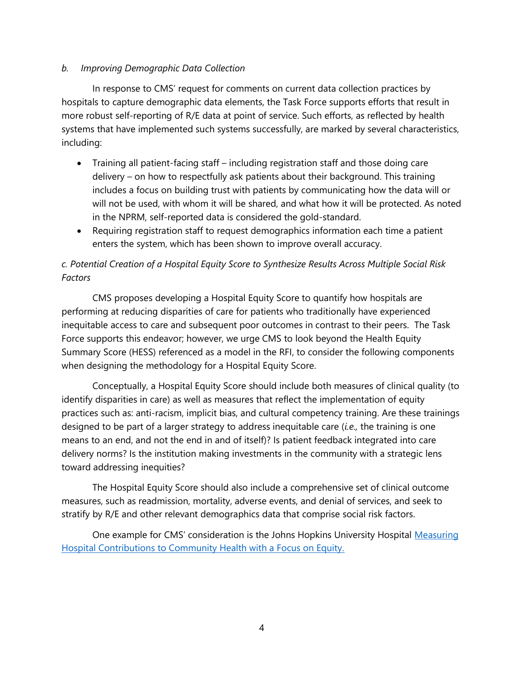### b. Improving Demographic Data Collection

In response to CMS' request for comments on current data collection practices by hospitals to capture demographic data elements, the Task Force supports efforts that result in more robust self-reporting of R/E data at point of service. Such efforts, as reflected by health systems that have implemented such systems successfully, are marked by several characteristics, including:

- Training all patient-facing staff including registration staff and those doing care delivery – on how to respectfully ask patients about their background. This training includes a focus on building trust with patients by communicating how the data will or will not be used, with whom it will be shared, and what how it will be protected. As noted in the NPRM, self-reported data is considered the gold-standard.
- Requiring registration staff to request demographics information each time a patient enters the system, which has been shown to improve overall accuracy.

# c. Potential Creation of a Hospital Equity Score to Synthesize Results Across Multiple Social Risk Factors

CMS proposes developing a Hospital Equity Score to quantify how hospitals are performing at reducing disparities of care for patients who traditionally have experienced inequitable access to care and subsequent poor outcomes in contrast to their peers. The Task Force supports this endeavor; however, we urge CMS to look beyond the Health Equity Summary Score (HESS) referenced as a model in the RFI, to consider the following components when designing the methodology for a Hospital Equity Score.

Conceptually, a Hospital Equity Score should include both measures of clinical quality (to identify disparities in care) as well as measures that reflect the implementation of equity practices such as: anti-racism, implicit bias, and cultural competency training. Are these trainings designed to be part of a larger strategy to address inequitable care  $(i.e.,$  the training is one means to an end, and not the end in and of itself)? Is patient feedback integrated into care delivery norms? Is the institution making investments in the community with a strategic lens toward addressing inequities?

The Hospital Equity Score should also include a comprehensive set of clinical outcome measures, such as readmission, mortality, adverse events, and denial of services, and seek to stratify by R/E and other relevant demographics data that comprise social risk factors.

One example for CMS' consideration is the Johns Hopkins University Hospital Measuring Hospital Contributions to Community Health with a Focus on Equity.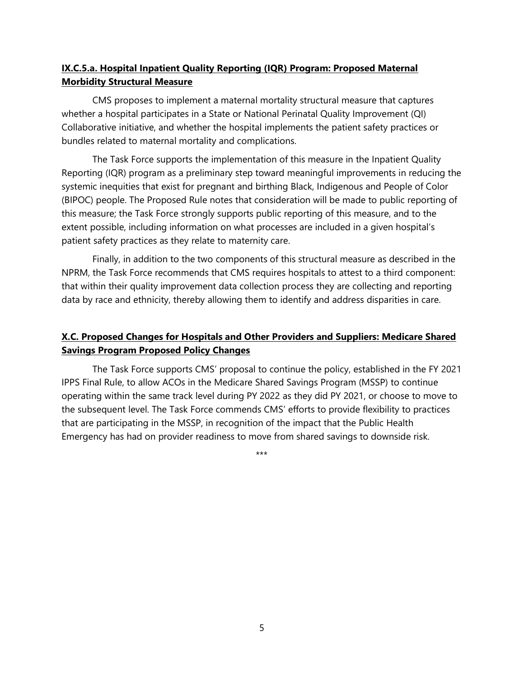# IX.C.5.a. Hospital Inpatient Quality Reporting (IQR) Program: Proposed Maternal Morbidity Structural Measure

CMS proposes to implement a maternal mortality structural measure that captures whether a hospital participates in a State or National Perinatal Quality Improvement (QI) Collaborative initiative, and whether the hospital implements the patient safety practices or bundles related to maternal mortality and complications.

The Task Force supports the implementation of this measure in the Inpatient Quality Reporting (IQR) program as a preliminary step toward meaningful improvements in reducing the systemic inequities that exist for pregnant and birthing Black, Indigenous and People of Color (BIPOC) people. The Proposed Rule notes that consideration will be made to public reporting of this measure; the Task Force strongly supports public reporting of this measure, and to the extent possible, including information on what processes are included in a given hospital's patient safety practices as they relate to maternity care.

Finally, in addition to the two components of this structural measure as described in the NPRM, the Task Force recommends that CMS requires hospitals to attest to a third component: that within their quality improvement data collection process they are collecting and reporting data by race and ethnicity, thereby allowing them to identify and address disparities in care.

# X.C. Proposed Changes for Hospitals and Other Providers and Suppliers: Medicare Shared Savings Program Proposed Policy Changes

The Task Force supports CMS' proposal to continue the policy, established in the FY 2021 IPPS Final Rule, to allow ACOs in the Medicare Shared Savings Program (MSSP) to continue operating within the same track level during PY 2022 as they did PY 2021, or choose to move to the subsequent level. The Task Force commends CMS' efforts to provide flexibility to practices that are participating in the MSSP, in recognition of the impact that the Public Health Emergency has had on provider readiness to move from shared savings to downside risk.

\*\*\*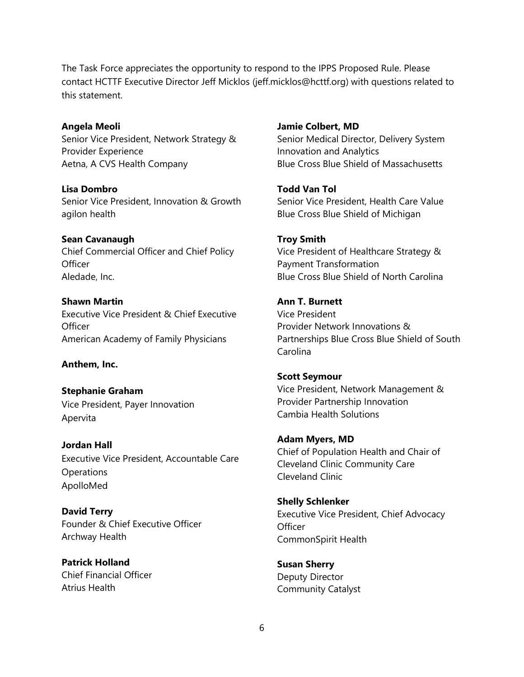The Task Force appreciates the opportunity to respond to the IPPS Proposed Rule. Please contact HCTTF Executive Director Jeff Micklos (jeff.micklos@hcttf.org) with questions related to this statement.

Angela Meoli Senior Vice President, Network Strategy & Provider Experience Aetna, A CVS Health Company

Lisa Dombro Senior Vice President, Innovation & Growth agilon health

Sean Cavanaugh Chief Commercial Officer and Chief Policy **Officer** Aledade, Inc.

Shawn Martin Executive Vice President & Chief Executive **Officer** American Academy of Family Physicians

Anthem, Inc.

Stephanie Graham Vice President, Payer Innovation Apervita

Jordan Hall Executive Vice President, Accountable Care **Operations** ApolloMed

David Terry Founder & Chief Executive Officer Archway Health

Patrick Holland Chief Financial Officer Atrius Health

Jamie Colbert, MD Senior Medical Director, Delivery System Innovation and Analytics Blue Cross Blue Shield of Massachusetts

Todd Van Tol Senior Vice President, Health Care Value Blue Cross Blue Shield of Michigan

Troy Smith Vice President of Healthcare Strategy & Payment Transformation Blue Cross Blue Shield of North Carolina

Ann T. Burnett Vice President Provider Network Innovations & Partnerships Blue Cross Blue Shield of South Carolina

Scott Seymour Vice President, Network Management & Provider Partnership Innovation Cambia Health Solutions

Adam Myers, MD Chief of Population Health and Chair of Cleveland Clinic Community Care Cleveland Clinic

Shelly Schlenker Executive Vice President, Chief Advocacy **Officer** CommonSpirit Health

Susan Sherry Deputy Director Community Catalyst